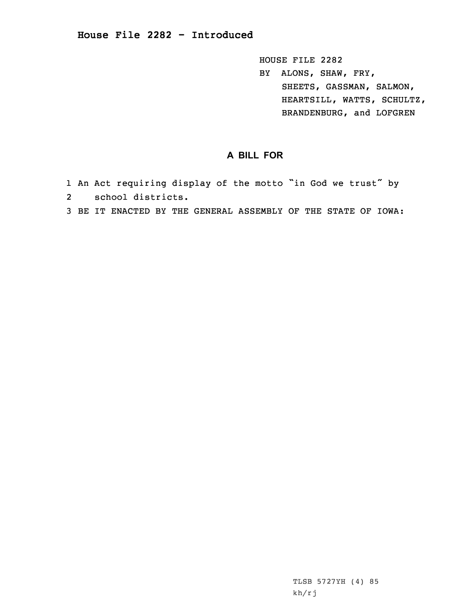HOUSE FILE 2282 BY ALONS, SHAW, FRY, SHEETS, GASSMAN, SALMON, HEARTSILL, WATTS, SCHULTZ, BRANDENBURG, and LOFGREN

## **A BILL FOR**

- 1 An Act requiring display of the motto "in God we trust" by
- 2 school districts.
- 3 BE IT ENACTED BY THE GENERAL ASSEMBLY OF THE STATE OF IOWA:

TLSB 5727YH (4) 85 kh/rj